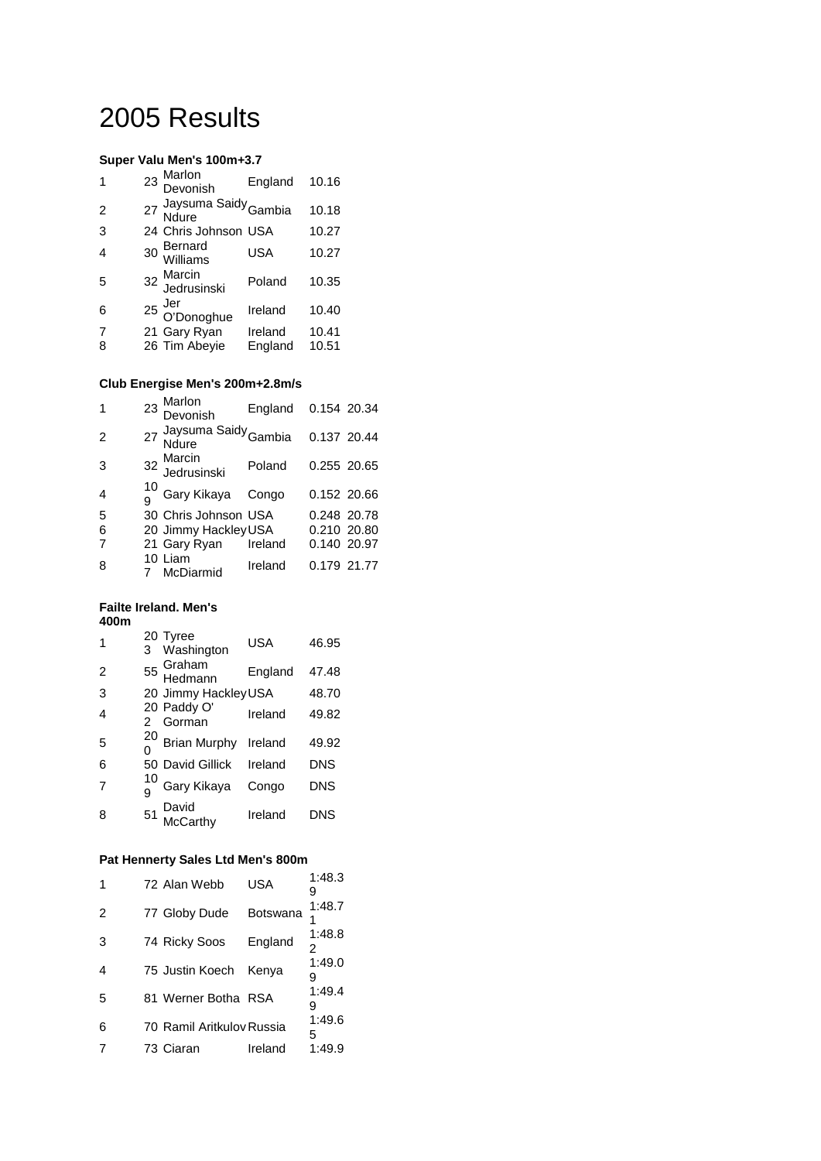# 2005 Results

#### **Super Valu Men's 100m+3.7**

|                | 23 Marlon<br>Devonish                         | England            | 10.16          |
|----------------|-----------------------------------------------|--------------------|----------------|
| $\overline{2}$ | 27 Jaysuma Saidy Gambia                       |                    | 10.18          |
| 3              | 24 Chris Johnson USA                          |                    | 10.27          |
| $\overline{4}$ | 30 Bernard<br>Williams                        | <b>USA</b>         | 10.27          |
| 5              | 32 Marcin<br>Jedrusinski                      | Poland             | 10.35          |
| 6              | <sup>25</sup> Jer<br><sup>25</sup> O'Donoghue | Ireland            | 10.40          |
| 7<br>8         | 21 Gary Ryan<br>26 Tim Abeyie                 | Ireland<br>England | 10.41<br>10.51 |
|                |                                               |                    |                |

#### **Club Energise Men's 200m+2.8m/s**

| $\mathbf{1}$   | 23 Marlon<br>Devonish               | England | 0.154 20.34 |  |
|----------------|-------------------------------------|---------|-------------|--|
| 2              | 27 Jaysuma Saidy Gambia 0.137 20.44 |         |             |  |
| 3              | 32 Marcin<br>Jedrusinski            | Poland  | 0.255 20.65 |  |
| $\overline{4}$ | 10 Gary Kikaya Congo                |         | 0.152 20.66 |  |
| 5              | 30 Chris Johnson USA                |         | 0.248 20.78 |  |
| 6              | 20 Jimmy Hackley USA                |         | 0.210 20.80 |  |
| 7              | 21 Gary Ryan Ireland                |         | 0.140 20.97 |  |
| 8              | 10 Liam<br>McDiarmid                | Ireland | 0.179 21.77 |  |

#### **Failte Ireland. Men's 400m**

| $\mathbf 1$    | 20 Tyree<br>3 Washington | <b>USA</b> | 46.95      |
|----------------|--------------------------|------------|------------|
| $\overline{2}$ | 55 Graham<br>Hedmann     | England    | 47.48      |
| 3              | 20 Jimmy Hackley USA     |            | 48.70      |
| $\overline{4}$ | 20 Paddy O'<br>2 Gorman  | Ireland    | 49.82      |
| 5              | $^{20}$ Brian Murphy     | Ireland    | 49.92      |
| 6              | 50 David Gillick Ireland |            | <b>DNS</b> |
| 7              | Gary Kikaya              | Congo      | <b>DNS</b> |
| 8              | 51 David<br>McCarthy     | Ireland    | DNS        |

#### **Pat Hennerty Sales Ltd Men's 800m**

| $\overline{1}$ | 72 Alan Webb              | USA      | 1:48.3      |
|----------------|---------------------------|----------|-------------|
| $\overline{2}$ | 77 Globy Dude             | Botswana | 1:48.7      |
| 3              | 74 Ricky Soos             | England  | 1:48.8<br>2 |
| $\overline{4}$ | 75 Justin Koech           | Kenya    | 1:49.0<br>9 |
| 5              | 81 Werner Botha RSA       |          | 1:49.4<br>9 |
| 6              | 70 Ramil Aritkulov Russia |          | 1:49.6<br>5 |
| 7              | 73 Ciaran                 | Ireland  | 1:49.9      |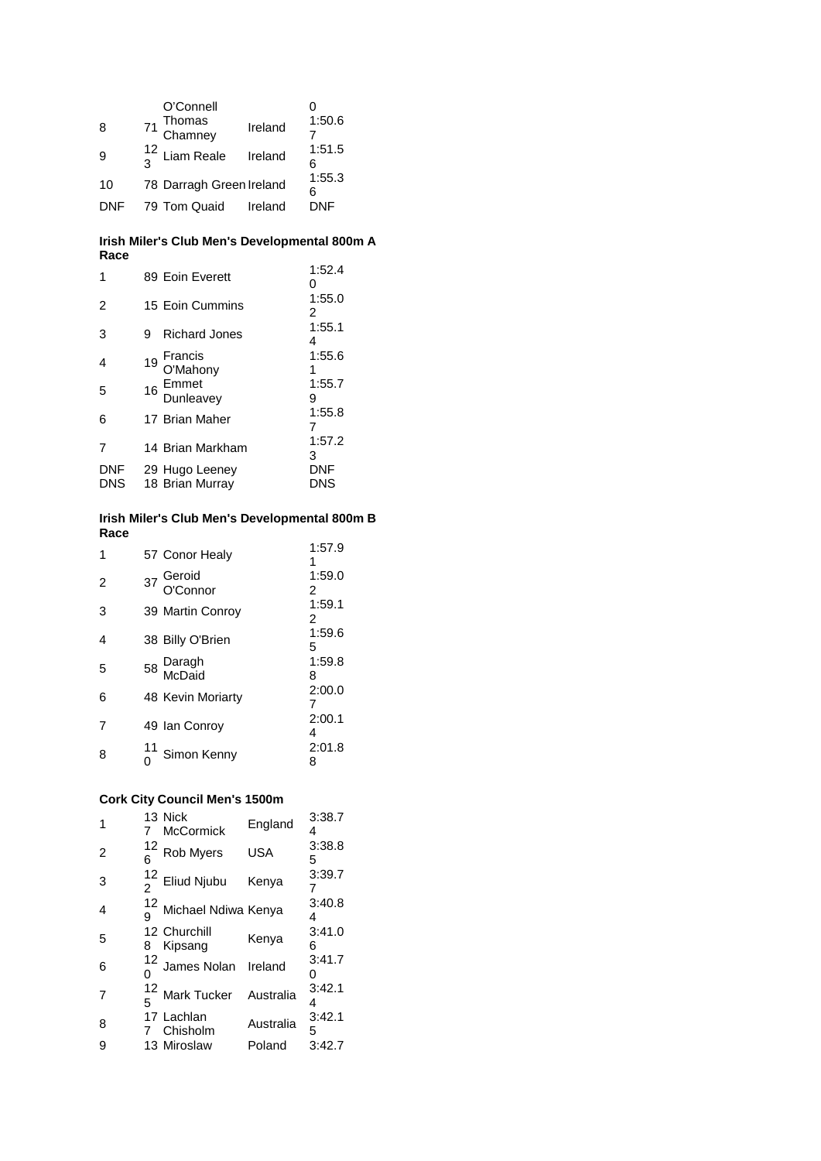| 8<br>9     | O'Connell<br>71 Thomas<br>Chamney<br>$\frac{12}{3}$ Liam Reale | Ireland<br>Ireland | 1:50.6<br>1:51.5<br>հ |
|------------|----------------------------------------------------------------|--------------------|-----------------------|
| 10         | 78 Darragh Green Ireland                                       |                    | 1:55.3<br>հ           |
| <b>DNF</b> | 79 Tom Quaid                                                   | Ireland            | DNF                   |

#### **Irish Miler's Club Men's Developmental 800m A Race**

| 1                        | 89 Eoin Everett                   | 1:52.4<br>ი |
|--------------------------|-----------------------------------|-------------|
| $\overline{2}$           | 15 Eoin Cummins                   | 1:55.0<br>2 |
| 3                        | <b>Richard Jones</b><br>9         | 1:55.1<br>4 |
| 4                        | Francis<br>O'Mahony<br>19         | 1:55.6<br>1 |
| 5                        | 16 Emmet<br>Dunleavey             | 1:55.7<br>9 |
| 6                        | 17 Brian Maher                    | 1:55.8      |
|                          | 14 Brian Markham                  | 1:57.2<br>3 |
| <b>DNF</b><br><b>DNS</b> | 29 Hugo Leeney<br>18 Brian Murray | DNF<br>DNS  |

#### **Irish Miler's Club Men's Developmental 800m B Race**

| 1              | 57 Conor Healy        | 1:57.9      |
|----------------|-----------------------|-------------|
| $\overline{2}$ | 37 Geroid<br>O'Connor | 1:59.0<br>2 |
| 3              | 39 Martin Conroy      | 1:59.1<br>2 |
| 4              | 38 Billy O'Brien      | 1:59.6<br>5 |
| 5              | 58 Daragh<br>McDaid   | 1:59.8<br>8 |
| 6              | 48 Kevin Moriarty     | 2:00.0      |
| 7              | 49 Ian Conroy         | 2:00.1<br>4 |
| 8              | Simon Kenny           | 2:01.8<br>8 |

# **Cork City Council Men's 1500m**

| 1              |    | 13 Nick<br>McCormick       | England    | 3:38.7<br>4 |
|----------------|----|----------------------------|------------|-------------|
| $\overline{2}$ | 12 | Rob Myers                  | <b>USA</b> | 3:38.8<br>5 |
| 3              |    | $\frac{12}{2}$ Eliud Njubu | Kenya      | 3:39.7      |
| $\overline{4}$ |    | Michael Ndiwa Kenya        |            | 3:40.8<br>4 |
| 5              | 8  | 12 Churchill<br>Kipsang    | Kenya      | 3:41.0<br>6 |
| 6              |    | 12 James Nolan Ireland     |            | 3:41.7<br>ი |
| 7              |    | $12$ Mark Tucker           | Australia  | 3:42.1<br>4 |
| 8              |    | 17 Lachlan<br>7 Chisholm   | Australia  | 3:42.1<br>5 |
| 9              |    | 13 Miroslaw                | Poland     | 3:42.7      |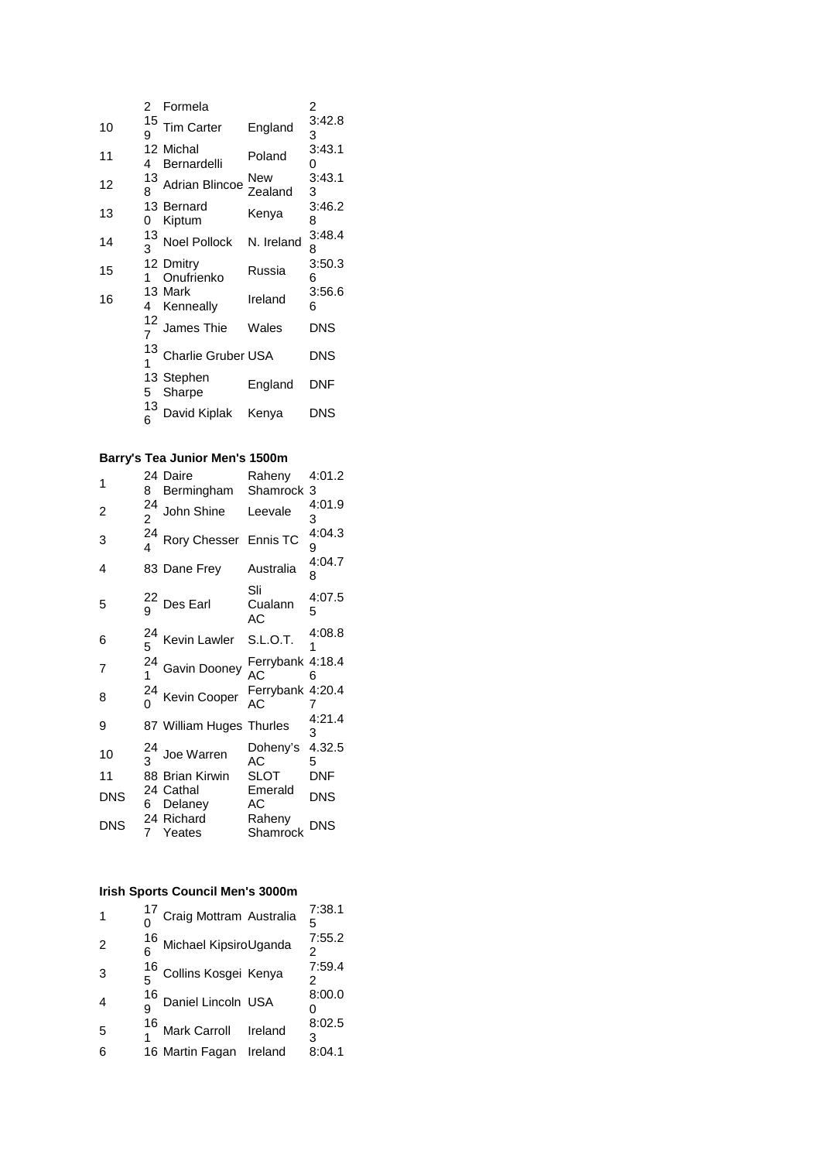|    | 2       | Formela                  |                | 2           |
|----|---------|--------------------------|----------------|-------------|
| 10 | 15<br>9 | Tim Carter               | England        | 3:42.8<br>3 |
| 11 | 4       | 12 Michal<br>Bernardelli | Poland         | 3:43.1<br>0 |
| 12 | 13<br>8 | <b>Adrian Blincoe</b>    | New<br>Zealand | 3:43.1<br>3 |
| 13 | 0       | 13 Bernard<br>Kiptum     | Kenya          | 3:46.2<br>8 |
| 14 | 13<br>3 | <b>Noel Pollock</b>      | N. Ireland     | 3:48.4<br>8 |
| 15 | 1       | 12 Dmitry<br>Onufrienko  | Russia         | 3:50.3<br>6 |
| 16 | 4       | 13 Mark<br>Kenneally     | Ireland        | 3:56.6<br>6 |
|    | 12<br>7 | James Thie               | Wales          | <b>DNS</b>  |
|    | 13<br>1 | Charlie Gruber USA       |                | DNS         |
|    | 5       | 13 Stephen<br>Sharpe     | England        | DNF         |
|    | 13<br>6 | David Kiplak             | Kenya          | DNS         |

### **Barry's Tea Junior Men's 1500m**

| 1              | 8                    | 24 Daire<br>Bermingham Shamrock 3 | Raheny                 | 4:01.2      |
|----------------|----------------------|-----------------------------------|------------------------|-------------|
| $\overline{2}$ | 24<br>$\overline{c}$ | John Shine                        | Leevale                | 4:01.9<br>3 |
| 3              | 24                   | Rory Chesser Ennis TC             |                        | 4:04.3<br>9 |
| 4              |                      | 83 Dane Frey                      | Australia              | 4:04.7<br>8 |
| 5              | 9                    | Des Earl                          | Sli<br>Cualann<br>АC   | 4:07.5<br>5 |
| 6              | 24<br>5              | Kevin Lawler S.L.O.T.             |                        | 4:08.8<br>1 |
| $\overline{7}$ |                      | $^{24}_{1}$ Gavin Dooney          | Ferrybank 4:18.4<br>АC | 6           |
| 8              |                      | $^{24}_{0}$ Kevin Cooper          | Ferrybank 4:20.4<br>AC | 7           |
| 9              |                      | 87 William Huges Thurles          |                        | 4:21.4<br>3 |
| 10             |                      | Joe Warren                        | Doheny's 4.32.5<br>AC  | 5           |
| 11             |                      | 88 Brian Kirwin                   | SLOT                   | <b>DNF</b>  |
| <b>DNS</b>     | 6.                   | 24 Cathal<br>Delaney              | Emerald<br>АC          | <b>DNS</b>  |
| <b>DNS</b>     | $7^{\circ}$          | 24 Richard<br>Yeates              | Raheny<br>Shamrock     | <b>DNS</b>  |

#### **Irish Sports Council Men's 3000m**

| 16 Michael KipsiroUganda<br>$\mathcal{P}$<br>16<br>5 Collins Kosgei Kenya<br>3<br>$\frac{16}{9}$ Daniel Lincoln USA<br>$\frac{16}{1}$ Mark Carroll Ireland<br>5<br>16 Martin Fagan<br>Ireland<br>6 | 1 | $^{17}_{0}$ Craig Mottram Australia | 7:38.1 |
|----------------------------------------------------------------------------------------------------------------------------------------------------------------------------------------------------|---|-------------------------------------|--------|
|                                                                                                                                                                                                    |   |                                     | 7:55.2 |
|                                                                                                                                                                                                    |   |                                     | 7:59.4 |
|                                                                                                                                                                                                    |   |                                     | 8:00.0 |
|                                                                                                                                                                                                    |   |                                     | 8:02.5 |
|                                                                                                                                                                                                    |   |                                     | 8:04.1 |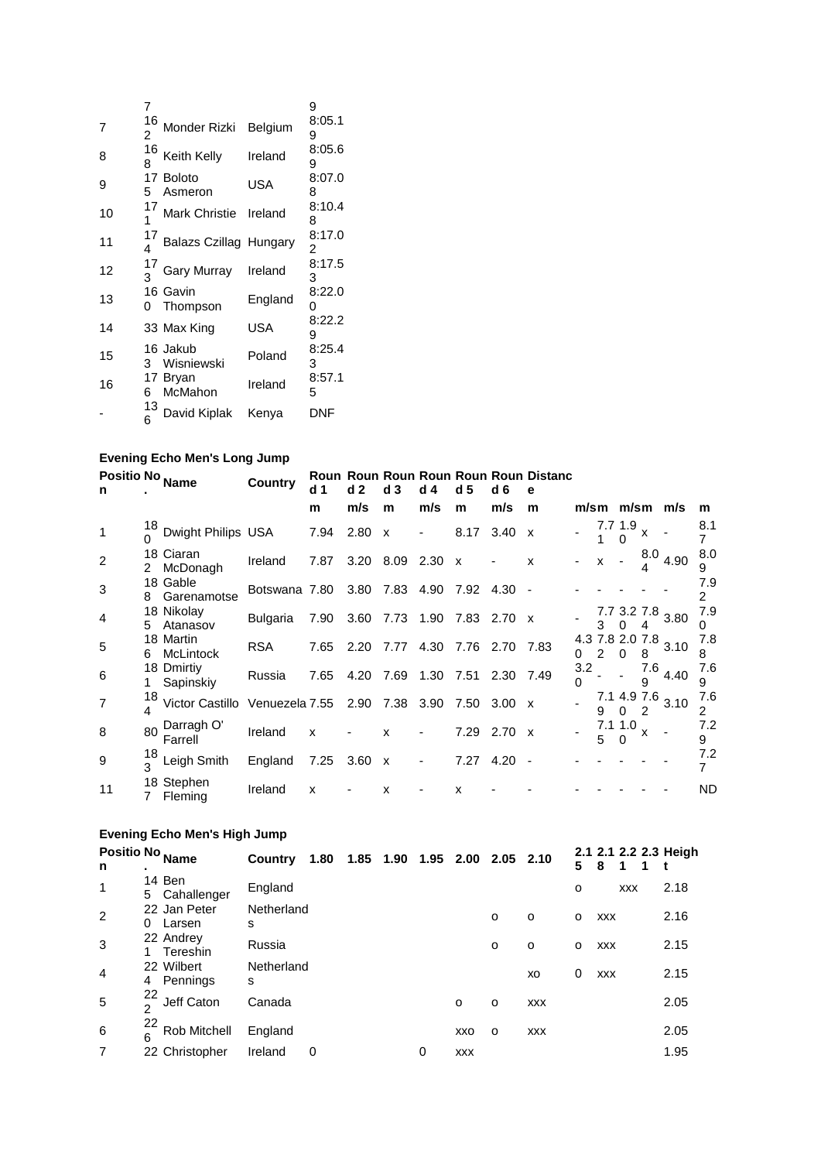| 7  | 7<br>16<br>2 | Monder Rizki                  | Belgium    | 9<br>8:05.1<br>9 |
|----|--------------|-------------------------------|------------|------------------|
| 8  | 16<br>8      | Keith Kelly                   | Ireland    | 8:05.6<br>9      |
| 9  | 5            | 17 Boloto<br>Asmeron          | <b>USA</b> | 8:07.0<br>8      |
| 10 | 17           | Mark Christie Ireland         |            | 8:10.4<br>8      |
| 11 |              | <b>Balazs Czillag Hungary</b> |            | 8:17.0<br>2      |
| 12 |              | <b>Gary Murray</b>            | Ireland    | 8:17.5<br>3      |
| 13 | 0            | 16 Gavin<br>Thompson          | England    | 8:22.0<br>0      |
| 14 |              | 33 Max King                   | USA        | 8:22.2<br>9      |
| 15 | 3            | 16 Jakub<br>Wisniewski        | Poland     | 8:25.4<br>3      |
| 16 | 6            | 17 Bryan<br>McMahon           | Ireland    | 8:57.1<br>5      |
|    | 13<br>6      | David Kiplak                  | Kenya      | DNF              |

# **Evening Echo Men's Long Jump**

| Positio No Name |                      |                         | Country                            | d 1  | d <sub>2</sub> | d <sub>3</sub> | d 4                      | d 5                       | d 6           | Roun Roun Roun Roun Roun Roun Distanc<br>е |          |   |                     |                  |                      |                       |
|-----------------|----------------------|-------------------------|------------------------------------|------|----------------|----------------|--------------------------|---------------------------|---------------|--------------------------------------------|----------|---|---------------------|------------------|----------------------|-----------------------|
|                 |                      |                         |                                    | m    | m/s            | m              | m/s                      | m                         | m/s           | m                                          |          |   |                     |                  | m/sm m/sm m/s        | m                     |
|                 | 18                   | Dwight Philips USA      |                                    | 7.94 | $2.80 \times$  |                |                          | 8.17                      | 3.40          | $\mathbf{x}$                               |          |   | 7.7 1.9<br>0        | X                |                      | 8.1                   |
| 2               | $\mathcal{P}$        | 18 Ciaran<br>McDonagh   | Ireland                            | 7.87 | 3.20           | 8.09           | 2.30                     | $\boldsymbol{\mathsf{x}}$ |               | X                                          |          | X |                     | 8.0              | 4.90                 | 8.0<br>9              |
| 3               | 8                    | 18 Gable<br>Garenamotse | Botswana 7.80                      |      | 3.80 7.83      |                | 4.90                     | 7.92                      | 4.30          |                                            |          |   |                     |                  |                      | 7.9<br>2              |
| 4               | 5.                   | 18 Nikolay<br>Atanasov  | <b>Bulgaria</b>                    | 7.90 |                | 3.60 7.73 1.90 |                          | 7.83 2.70 x               |               |                                            |          | 3 |                     | 4                | 7.7 3.2 7.8 3.80     | 7.9<br>0              |
| 5               | 6                    | 18 Martin<br>McLintock  | <b>RSA</b>                         | 7.65 | 2.20           |                |                          | 7.77 4.30 7.76 2.70 7.83  |               |                                            | O        |   | 0                   | 8                | 4.3 7.8 2.0 7.8 3.10 | 7.8<br>8              |
| 6               | 1.                   | 18 Dmirtiy<br>Sapinskiy | Russia                             | 7.65 | 4.20           | 7.69           | 1.30                     | 7.51                      | 2.30 7.49     |                                            | 3.2<br>0 |   |                     | 7.6<br>9         | 4.40                 | 7.6<br>9              |
| $\overline{7}$  | 18<br>$\overline{4}$ | Victor Castillo         | Venuezela 7.55 2.90 7.38 3.90 7.50 |      |                |                |                          |                           | $3.00 \times$ |                                            |          | 9 | $\Omega$            | 7.1 4.9 7.6<br>2 | 3.10                 | 7.6<br>2              |
| 8               | 80                   | Darragh O'<br>Farrell   | Ireland                            | X    |                | x              |                          | 7.29                      | $2.70 \times$ |                                            |          | 5 | 7.1 1.0<br>$\Omega$ | X                |                      | 7.2<br>9              |
| 9               | 18<br>ર              | Leigh Smith             | England                            | 7.25 | $3.60 \times$  |                | $\overline{\phantom{a}}$ | 7.27                      | 4.20          | $\overline{\phantom{a}}$                   |          |   |                     |                  |                      | 7.2<br>$\overline{7}$ |
| 11              | 7                    | 18 Stephen<br>Fleming   | Ireland                            | x    |                | X              |                          | x                         |               |                                            |          |   |                     |                  |                      | <b>ND</b>             |

# **Evening Echo Men's High Jump**

| n              | Positio No <sub>Name</sub>       | Country         | 1.80 |  | 1.85 1.90 1.95 2.00 2.05 2.10 |            |          |            | 5 | 8          |            | 2.1 2.1 2.2 2.3 Heigh |
|----------------|----------------------------------|-----------------|------|--|-------------------------------|------------|----------|------------|---|------------|------------|-----------------------|
| $\mathbf 1$    | 14 Ben<br>Cahallenger<br>5       | England         |      |  |                               |            |          |            | o |            | <b>XXX</b> | 2.18                  |
| 2              | 22 Jan Peter<br>0<br>Larsen      | Netherland<br>s |      |  |                               |            | O        | $\circ$    | o | <b>XXX</b> |            | 2.16                  |
| 3              | 22 Andrey<br>Tereshin<br>1       | Russia          |      |  |                               |            | O        | O          | o | <b>XXX</b> |            | 2.15                  |
| $\overline{4}$ | 22 Wilbert<br>4 Pennings         | Netherland<br>s |      |  |                               |            |          | XO         | 0 | <b>XXX</b> |            | 2.15                  |
| 5              | 22<br>Jeff Caton<br><sub>2</sub> | Canada          |      |  |                               | $\Omega$   | $\circ$  | <b>XXX</b> |   |            |            | 2.05                  |
| 6              | 22<br>Rob Mitchell<br>6          | England         |      |  |                               | XXO        | $\Omega$ | <b>XXX</b> |   |            |            | 2.05                  |
|                | 22 Christopher                   | Ireland         | 0    |  | 0                             | <b>XXX</b> |          |            |   |            |            | 1.95                  |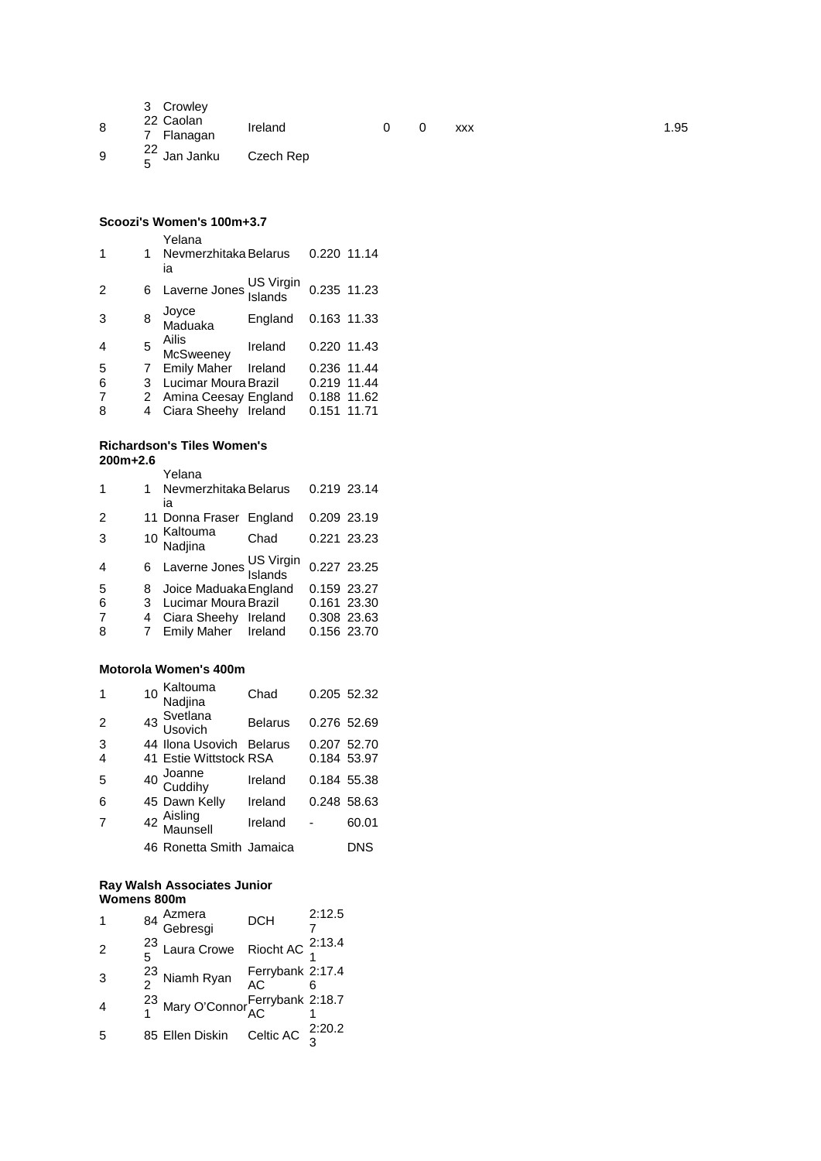|   | 3 Crowley<br>22 Caolan             |         |  |            |      |
|---|------------------------------------|---------|--|------------|------|
| 8 | 7 Flanagan                         | Ireland |  | <b>XXX</b> | 1.95 |
| 9 | $\frac{22}{5}$ Jan Janku Czech Rep |         |  |            |      |

# **Scoozi's Women's 100m+3.7**

| 1              | 1 | Yelana<br>Nevmerzhitaka Belarus<br>ia |         | 0.220 11.14 |  |
|----------------|---|---------------------------------------|---------|-------------|--|
| 2              | 6 | Laverne Jones US Virgin               |         | 0.235 11.23 |  |
| 3              | 8 | Joyce<br>Maduaka                      | England | 0.163 11.33 |  |
| $\overline{4}$ | 5 | Ailis<br>McSweeney                    | Ireland | 0.220 11.43 |  |
| 5              | 7 | Emily Maher Ireland                   |         | 0.236 11.44 |  |
| 6              | 3 | Lucimar Moura Brazil                  |         | 0.219 11.44 |  |
| $\overline{7}$ |   | 2 Amina Ceesay England                |         | 0.188 11.62 |  |
| 8              | 4 | Ciara Sheehy Ireland                  |         | 0.151 11.71 |  |
|                |   |                                       |         |             |  |

#### **Richardson's Tiles Women's 200m+2.6**

| 1 | 1. | Yelana<br>Nevmerzhitaka Belarus |      | 0.219 23.14 |             |
|---|----|---------------------------------|------|-------------|-------------|
|   |    | ia                              |      |             |             |
| 2 |    | 11 Donna Fraser England         |      | 0.209 23.19 |             |
| 3 |    | 10 Kaltouma<br>Nadjina          | Chad | 0.221 23.23 |             |
| 4 |    | 6 Laverne Jones US Virgin       |      | 0.227 23.25 |             |
| 5 |    | 8 Joice Maduaka England         |      | 0.159 23.27 |             |
| 6 |    | 3 Lucimar Moura Brazil          |      | 0.161 23.30 |             |
|   | 4  | Ciara Sheehy Ireland            |      |             | 0.308 23.63 |
| 8 |    | Emily Maher Ireland             |      |             | 0.156 23.70 |
|   |    |                                 |      |             |             |

# **Motorola Women's 400m**

| 1              | 10 Kaltouma<br>Nadjina   | Chad           | 0.205 52.32 |       |
|----------------|--------------------------|----------------|-------------|-------|
| $\overline{2}$ | 43 Svetlana<br>Usovich   | <b>Belarus</b> | 0.276 52.69 |       |
| 3              | 44 Ilona Usovich Belarus |                | 0.207 52.70 |       |
|                | 41 Estie Wittstock RSA   |                | 0.184 53.97 |       |
| 5              | 40 Joanne<br>Cuddihy     | Ireland        | 0.184 55.38 |       |
| 6              | 45 Dawn Kelly            | Ireland        | 0.248 58.63 |       |
| 7              | 42 Aisling<br>Maunsell   | Ireland        |             | 60.01 |
|                | 46 Ronetta Smith Jamaica |                |             | DNS   |
|                |                          |                |             |       |

#### **Ray Walsh Associates Junior Womens 800m**

| 1              | 84 Azmera<br>Gebresgi                             | <b>DCH</b>             | 2:12.5 |
|----------------|---------------------------------------------------|------------------------|--------|
| $\overline{2}$ | $^{23}_{5}$ Laura Crowe Riocht AC $^{2:13.4}_{1}$ |                        |        |
| 3              | $\frac{23}{2}$ Niamh Ryan                         | Ferrybank 2:17.4<br>AC |        |
|                | 23 Mary O'Connor Ferrybank 2:18.7                 |                        |        |
| .5             | 85 Ellen Diskin Celtic AC $\frac{2:20.2}{3}$      |                        |        |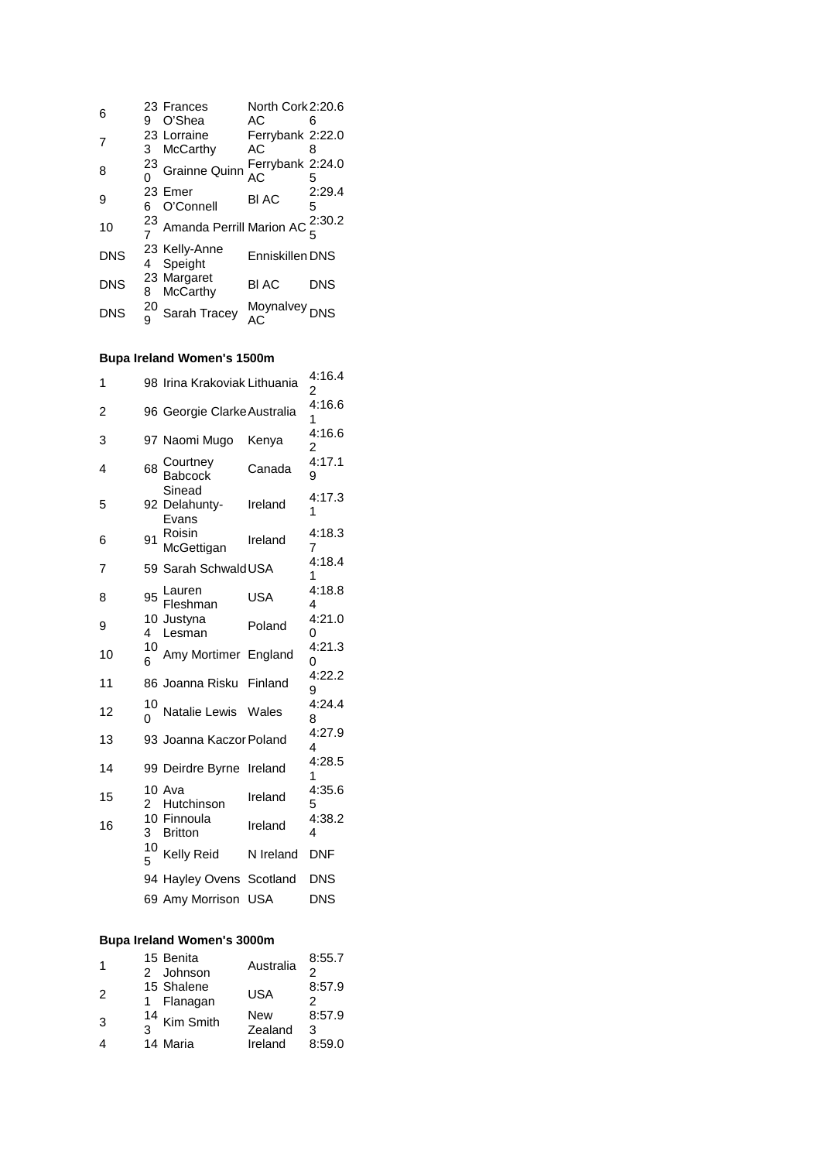| 6          |    | 23 Frances                             | North Cork 2:20.6 |            |
|------------|----|----------------------------------------|-------------------|------------|
|            | 9  | O'Shea                                 | AC                |            |
| 7          |    | 23 Lorraine                            | Ferrybank 2:22.0  |            |
|            | 3  | McCarthy                               | AC.               |            |
| 8          |    | $^{23}$ Grainne Quinn                  | Ferrybank 2:24.0  |            |
|            |    |                                        | AC                | 5          |
| 9          |    | 23 Emer                                | <b>BI AC</b>      | 2:29.4     |
|            |    | O'Connell                              |                   | 5          |
| 10         | 23 | Amanda Perrill Marion AC $_c^{2:30.2}$ |                   |            |
|            |    |                                        |                   |            |
| <b>DNS</b> |    | 23 Kelly-Anne                          | Enniskillen DNS   |            |
|            | 4  | Speight                                |                   |            |
| <b>DNS</b> |    | 23 Margaret                            | <b>BIAC</b>       | <b>DNS</b> |
|            | 8  | <b>McCarthy</b>                        |                   |            |
| <b>DNS</b> | 20 | Sarah Tracey                           | Moynalvey<br>AC   |            |
|            |    |                                        |                   |            |

# **Bupa Ireland Women's 1500m**

| 1              |         | 98 Irina Krakoviak Lithuania     |           | 4:16.4<br>2 |
|----------------|---------|----------------------------------|-----------|-------------|
| $\overline{2}$ |         | 96 Georgie Clarke Australia      |           | 4:16.6<br>1 |
| 3              |         | 97 Naomi Mugo                    | Kenya     | 4:16.6<br>2 |
| 4              | 68      | Courtney<br>Babcock              | Canada    | 4:17.1<br>9 |
| 5              |         | Sinead<br>92 Delahunty-<br>Evans | Ireland   | 4:17.3<br>1 |
| 6              | 91      | Roisin<br>McGettigan             | Ireland   | 4:18.3<br>7 |
| 7              |         | 59 Sarah SchwaldUSA              |           | 4:18.4<br>1 |
| 8              | 95      | Lauren<br>Fleshman               | USA       | 4:18.8<br>4 |
| 9              | 4       | 10 Justyna<br>Lesman             | Poland    | 4:21.0<br>0 |
| 10             | 10<br>6 | Amy Mortimer England             |           | 4:21.3<br>0 |
| 11             |         | 86 Joanna Risku Finland          |           | 4:22.2<br>9 |
| 12             | 10<br>0 | Natalie Lewis Wales              |           | 4:24.4<br>8 |
| 13             |         | 93 Joanna Kaczor Poland          |           | 4:27.9<br>4 |
| 14             |         | 99 Deirdre Byrne Ireland         |           | 4:28.5<br>1 |
| 15             | 2       | 10 Ava<br>Hutchinson             | Ireland   | 4:35.6<br>5 |
| 16             | 3       | 10 Finnoula<br><b>Britton</b>    | Ireland   | 4:38.2<br>4 |
|                | 10<br>5 | Kelly Reid                       | N Ireland | DNF         |
|                |         | 94 Hayley Ovens Scotland         |           | DNS         |
|                |         | 69 Amy Morrison                  | USA       | DNS         |

#### **Bupa Ireland Women's 3000m**

| -1            | 15 Benita<br>2 Johnson   | Australia      | 8:55.7<br>2 |
|---------------|--------------------------|----------------|-------------|
| $\mathcal{P}$ | 15 Shalene<br>1 Flanagan | <b>USA</b>     | 8:57.9<br>2 |
| 3             | $\frac{14}{3}$ Kim Smith | New<br>Zealand | 8:57.9<br>3 |
|               | 14 Maria                 | Ireland        | 8:59.0      |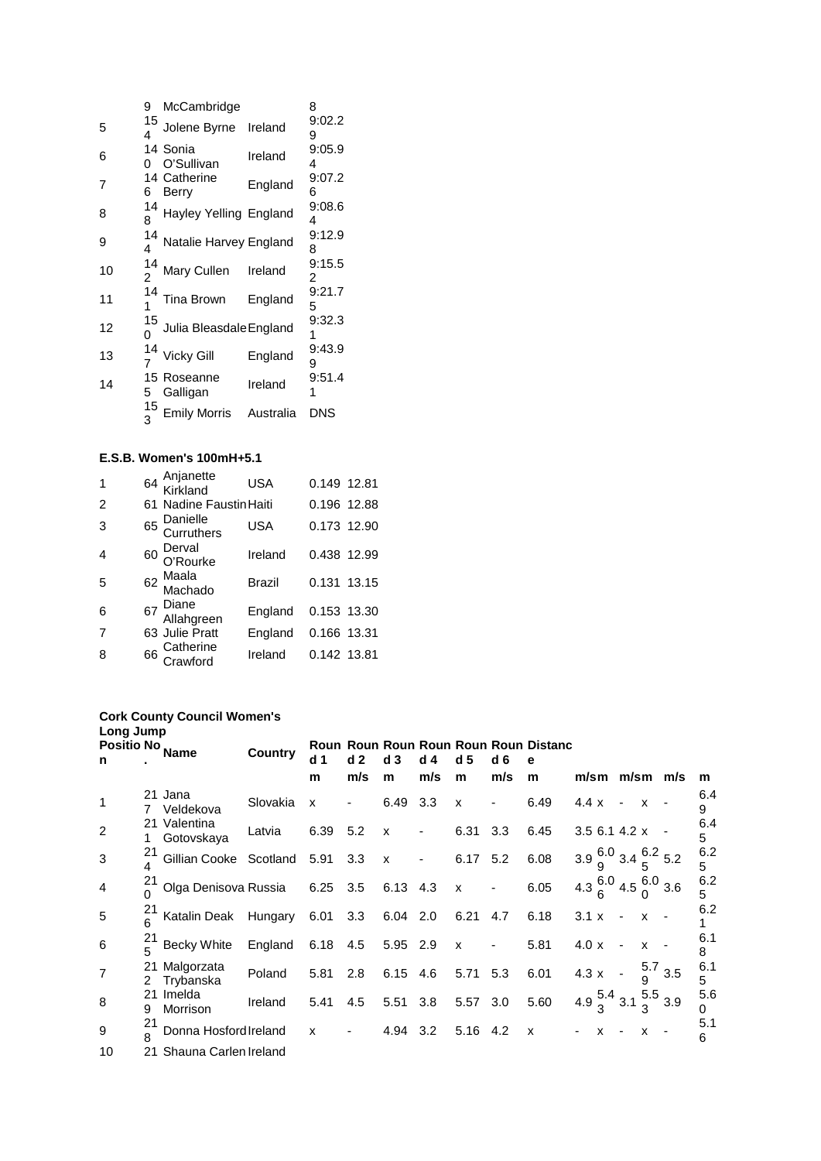|    | 9       | McCambridge             |           | 8           |
|----|---------|-------------------------|-----------|-------------|
| 5  | 15<br>4 | Jolene Byrne            | Ireland   | 9:02.2<br>9 |
| 6  | n       | 14 Sonia<br>O'Sullivan  | Ireland   | 9:05.9<br>4 |
| 7  | 6       | 14 Catherine<br>Berry   | England   | 9:07.2<br>6 |
| 8  | 14<br>8 | Hayley Yelling England  |           | 9:08.6<br>4 |
| 9  | 14<br>4 | Natalie Harvey England  |           | 9:12.9<br>8 |
| 10 | 14<br>2 | Mary Cullen             | Ireland   | 9:15.5<br>2 |
| 11 | 14<br>1 | Tina Brown              | England   | 9:21.7<br>5 |
| 12 | 15<br>0 | Julia Bleasdale England |           | 9:32.3      |
| 13 | 14      | Vicky Gill              | England   | 9:43.9<br>9 |
| 14 | 15<br>5 | Roseanne<br>Galligan    | Ireland   | 9:51.4      |
|    | 15<br>3 | <b>Emily Morris</b>     | Australia | DNS         |

#### **E.S.B. Women's 100mH+5.1**

| $\mathbf 1$    | 64 Anjanette<br>Kirkland  | <b>USA</b>    | 0.149 12.81 |  |
|----------------|---------------------------|---------------|-------------|--|
| $\overline{2}$ | 61 Nadine Faustin Haiti   |               | 0.196 12.88 |  |
| 3              | 65 Danielle<br>Curruthers | <b>USA</b>    | 0.173 12.90 |  |
| $\overline{4}$ | 60 Derval<br>O'Rourke     | Ireland       | 0.438 12.99 |  |
| 5              | 62 Maala<br>Machado       | <b>Brazil</b> | 0.131 13.15 |  |
| 6              | 67 Diane<br>Allahgreen    | England       | 0.153 13.30 |  |
| 7              | 63 Julie Pratt            | England       | 0.166 13.31 |  |
| 8              | 66 Catherine<br>Crawford  | Ireland       | 0.142 13.81 |  |

#### **Cork County Council Women's Long Jump**

| <b>Positio No</b><br>n |         | Name                       | <b>Country</b> | d 1          | d <sub>2</sub> | d <sub>3</sub> | d 4                      | d 5          | d 6 | Roun Roun Roun Roun Roun Roun Distanc<br>е |                                             |              |                          |                           |               |          |
|------------------------|---------|----------------------------|----------------|--------------|----------------|----------------|--------------------------|--------------|-----|--------------------------------------------|---------------------------------------------|--------------|--------------------------|---------------------------|---------------|----------|
|                        |         |                            |                | m            | m/s            | m              | m/s                      | m            | m/s | m                                          |                                             |              |                          |                           | m/sm m/sm m/s | m        |
| $\mathbf 1$            |         | 21 Jana<br>Veldekova       | Slovakia       | X            |                | 6.49           | 3.3                      | $\mathsf{x}$ |     | 6.49                                       | 4.4 x                                       |              |                          | X                         |               | 6.4<br>9 |
| $\overline{2}$         | 1       | 21 Valentina<br>Gotovskaya | Latvia         | 6.39         | 5.2            | $\mathsf{x}$   | $\overline{\phantom{a}}$ | 6.31         | 3.3 | 6.45                                       | 3.5 6.1 4.2 x                               |              |                          |                           |               | 6.4<br>5 |
| 3                      | 21      | Gillian Cooke Scotland     |                | 5.91         | 3.3            | $\mathsf{x}$   | $\overline{\phantom{a}}$ | 6.17 5.2     |     | 6.08                                       | $3.9\frac{6.0}{9}$ 3.4 $\frac{6.2}{5}$ 5.2  |              |                          |                           |               | 6.2<br>5 |
| $\overline{4}$         | 21      | Olga Denisova Russia       |                | 6.25 3.5     |                | 6.13 4.3       |                          | $\mathbf{x}$ |     | 6.05                                       | 4.3 $\frac{6.0}{6}$ 4.5 $\frac{6.0}{0}$ 3.6 |              |                          |                           |               | 6.2<br>5 |
| 5                      | 21      | Katalin Deak               | Hungary        | 6.01         | 3.3            | 6.04 2.0       |                          | 6.21 4.7     |     | 6.18                                       | $3.1 \times$                                |              |                          | $\mathbf{x}$              |               | 6.2      |
| 6                      | 21<br>5 | <b>Becky White</b>         | England        | 6.18         | 4.5            | 5.95 2.9       |                          | $\mathsf{x}$ |     | 5.81                                       | $4.0 \times$                                |              |                          | X                         |               | 6.1<br>8 |
| $\overline{7}$         | 21<br>2 | Malgorzata<br>Trybanska    | Poland         | 5.81         | 2.8            | 6.15 4.6       |                          | 5.71         | 5.3 | 6.01                                       | $4.3 \times$                                |              | $\overline{\phantom{a}}$ | 5.7                       | 3.5           | 6.1<br>5 |
| 8                      | 21<br>9 | Imelda<br>Morrison         | Ireland        | 5.41         | 4.5            | 5.51 3.8       |                          | 5.57         | 3.0 | 5.60                                       | 4.9 $\frac{5.4}{3}$ 3.1 $\frac{5}{3}$       |              |                          |                           | $5.5_{3.9}$   | 5.6<br>0 |
| 9                      | 21<br>8 | Donna Hosford Ireland      |                | $\mathsf{x}$ | $\blacksquare$ | 4.94 3.2       |                          | 5.16 4.2     |     | X                                          |                                             | $\mathsf{X}$ |                          | $\boldsymbol{\mathsf{x}}$ |               | 5.1<br>6 |
| 10                     |         | 21 Shauna Carlen Ireland   |                |              |                |                |                          |              |     |                                            |                                             |              |                          |                           |               |          |